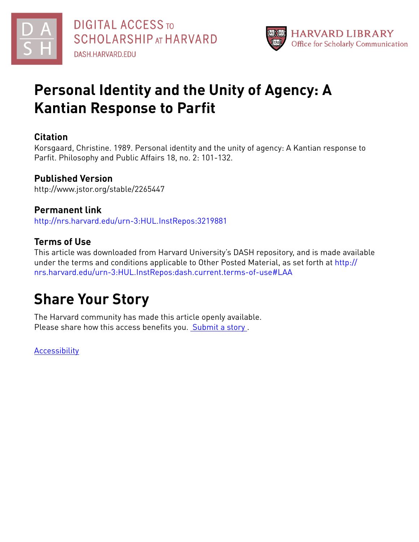



# **Personal Identity and the Unity of Agency: A Kantian Response to Parfit**

## **Citation**

Korsgaard, Christine. 1989. Personal identity and the unity of agency: A Kantian response to Parfit. Philosophy and Public Affairs 18, no. 2: 101-132.

## **Published Version**

http://www.jstor.org/stable/2265447

## **Permanent link**

<http://nrs.harvard.edu/urn-3:HUL.InstRepos:3219881>

## **Terms of Use**

This article was downloaded from Harvard University's DASH repository, and is made available under the terms and conditions applicable to Other Posted Material, as set forth at [http://](http://nrs.harvard.edu/urn-3:HUL.InstRepos:dash.current.terms-of-use#LAA) [nrs.harvard.edu/urn-3:HUL.InstRepos:dash.current.terms-of-use#LAA](http://nrs.harvard.edu/urn-3:HUL.InstRepos:dash.current.terms-of-use#LAA)

## **Share Your Story**

The Harvard community has made this article openly available. Please share how this access benefits you. [Submit](http://osc.hul.harvard.edu/dash/open-access-feedback?handle=&title=Personal%20Identity%20and%20the%20Unity%20of%20Agency:%20A%20Kantian%20Response%20to%20Parfit&community=1/1&collection=1/2&owningCollection1/2&harvardAuthors=d9f9e637885d50e45d5d4eecd0d24c6c&departmentPhilosophy) a story.

**[Accessibility](https://dash.harvard.edu/pages/accessibility)**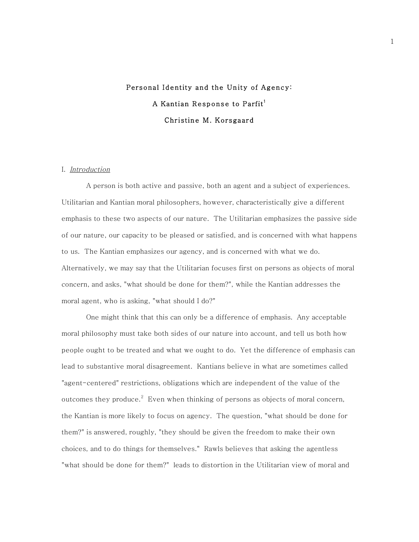## Personal Identity and the Unity of Agency: A Kantian Response to Parfit 1 Christine M. Korsgaard

#### I. Introduction

A person is both active and passive, both an agent and a subject of experiences. Utilitarian and Kantian moral philosophers, however, characteristically give a different emphasis to these two aspects of our nature. The Utilitarian emphasizes the passive side of our nature, our capacity to be pleased or satisfied, and is concerned with what happens to us. The Kantian emphasizes our agency, and is concerned with what we do. Alternatively, we may say that the Utilitarian focuses first on persons as objects of moral concern, and asks, "what should be done for them?", while the Kantian addresses the moral agent, who is asking, "what should I do?"

One might think that this can only be a difference of emphasis. Any acceptable moral philosophy must take both sides of our nature into account, and tell us both how people ought to be treated and what we ought to do. Yet the difference of emphasis can lead to substantive moral disagreement. Kantians believe in what are sometimes called "agent-centered" restrictions, obligations which are independent of the value of the outcomes they produce. $^2\,$  Even when thinking of persons as objects of moral concern, the Kantian is more likely to focus on agency. The question, "what should be done for them?" is answered, roughly, "they should be given the freedom to make their own choices, and to do things for themselves." Rawls believes that asking the agentless "what should be done for them?" leads to distortion in the Utilitarian view of moral and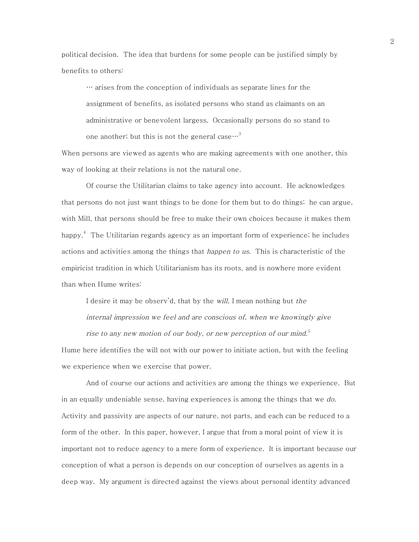political decision. The idea that burdens for some people can be justified simply by benefits to others:

⋯ arises from the conception of individuals as separate lines for the assignment of benefits, as isolated persons who stand as claimants on an administrative or benevolent largess. Occasionally persons do so stand to one another; but this is not the general case $\cdots^3$ 

When persons are viewed as agents who are making agreements with one another, this way of looking at their relations is not the natural one.

Of course the Utilitarian claims to take agency into account. He acknowledges that persons do not just want things to be done for them but to do things; he can argue, with Mill, that persons should be free to make their own choices because it makes them happy. $^4$  The Utilitarian regards agency as an important form of experience; he includes actions and activities among the things that happen to us. This is characteristic of the empiricist tradition in which Utilitarianism has its roots, and is nowhere more evident than when Hume writes:

I desire it may be observ'd, that by the will, I mean nothing but the internal impression we feel and are conscious of, when we knowingly give rise to any new motion of our body, or new perception of our mind. $^5$ 

Hume here identifies the will not with our power to initiate action, but with the feeling we experience when we exercise that power.

And of course our actions and activities are among the things we experience. But in an equally undeniable sense, having experiences is among the things that we do. Activity and passivity are aspects of our nature, not parts, and each can be reduced to a form of the other. In this paper, however, I argue that from a moral point of view it is important not to reduce agency to a mere form of experience. It is important because our conception of what a person is depends on our conception of ourselves as agents in a deep way. My argument is directed against the views about personal identity advanced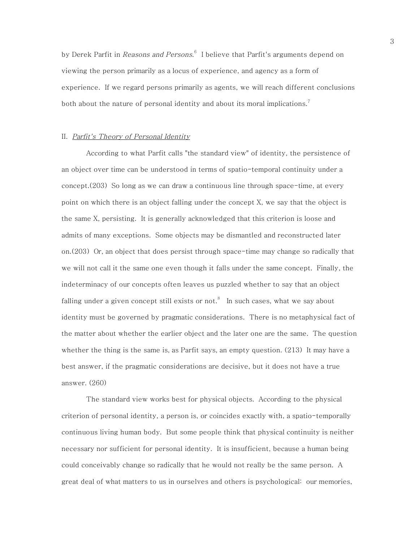by Derek Parfit in *Reasons and Persons*.<sup>6</sup> I believe that Parfit's arguments depend on viewing the person primarily as a locus of experience, and agency as a form of experience. If we regard persons primarily as agents, we will reach different conclusions both about the nature of personal identity and about its moral implications. $^7$ 

#### II. Parfit's Theory of Personal Identity

According to what Parfit calls "the standard view" of identity, the persistence of an object over time can be understood in terms of spatio-temporal continuity under a concept.(203) So long as we can draw a continuous line through space-time, at every point on which there is an object falling under the concept X, we say that the object is the same X, persisting. It is generally acknowledged that this criterion is loose and admits of many exceptions. Some objects may be dismantled and reconstructed later on.(203) Or, an object that does persist through space-time may change so radically that we will not call it the same one even though it falls under the same concept. Finally, the indeterminacy of our concepts often leaves us puzzled whether to say that an object falling under a given concept still exists or not. $^8$   $\,$  In such cases, what we say about identity must be governed by pragmatic considerations. There is no metaphysical fact of the matter about whether the earlier object and the later one are the same. The question whether the thing is the same is, as Parfit says, an empty question. (213) It may have a best answer, if the pragmatic considerations are decisive, but it does not have a true answer. (260)

The standard view works best for physical objects. According to the physical criterion of personal identity, a person is, or coincides exactly with, a spatio-temporally continuous living human body. But some people think that physical continuity is neither necessary nor sufficient for personal identity. It is insufficient, because a human being could conceivably change so radically that he would not really be the same person. A great deal of what matters to us in ourselves and others is psychological: our memories,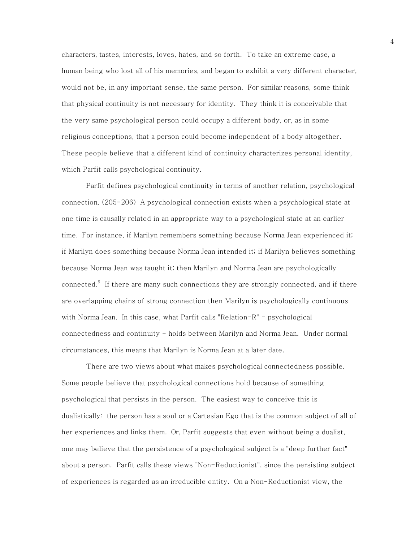characters, tastes, interests, loves, hates, and so forth. To take an extreme case, a human being who lost all of his memories, and began to exhibit a very different character, would not be, in any important sense, the same person. For similar reasons, some think that physical continuity is not necessary for identity. They think it is conceivable that the very same psychological person could occupy a different body, or, as in some religious conceptions, that a person could become independent of a body altogether. These people believe that a different kind of continuity characterizes personal identity, which Parfit calls psychological continuity.

Parfit defines psychological continuity in terms of another relation, psychological connection. (205-206) A psychological connection exists when a psychological state at one time is causally related in an appropriate way to a psychological state at an earlier time. For instance, if Marilyn remembers something because Norma Jean experienced it; if Marilyn does something because Norma Jean intended it; if Marilyn believes something because Norma Jean was taught it; then Marilyn and Norma Jean are psychologically connected. $^9$  If there are many such connections they are strongly connected, and if there are overlapping chains of strong connection then Marilyn is psychologically continuous with Norma Jean. In this case, what Parfit calls "Relation-R" - psychological connectedness and continuity - holds between Marilyn and Norma Jean. Under normal circumstances, this means that Marilyn is Norma Jean at a later date.

There are two views about what makes psychological connectedness possible. Some people believe that psychological connections hold because of something psychological that persists in the person. The easiest way to conceive this is dualistically: the person has a soul or a Cartesian Ego that is the common subject of all of her experiences and links them. Or, Parfit suggests that even without being a dualist, one may believe that the persistence of a psychological subject is a "deep further fact" about a person. Parfit calls these views "Non-Reductionist", since the persisting subject of experiences is regarded as an irreducible entity. On a Non-Reductionist view, the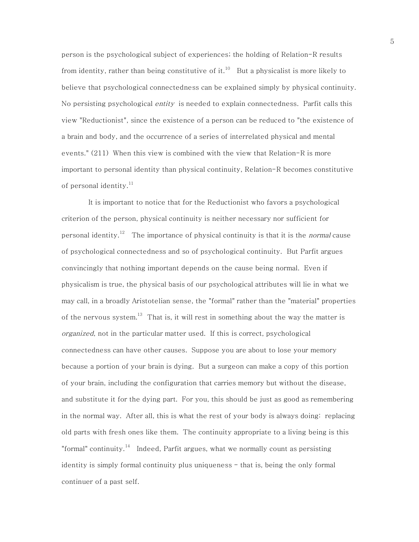person is the psychological subject of experiences; the holding of Relation-R results from identity, rather than being constitutive of it. $^{\rm 10}$  But a physicalist is more likely to believe that psychological connectedness can be explained simply by physical continuity. No persisting psychological *entity* is needed to explain connectedness. Parfit calls this view "Reductionist", since the existence of a person can be reduced to "the existence of a brain and body, and the occurrence of a series of interrelated physical and mental events." (211) When this view is combined with the view that Relation-R is more important to personal identity than physical continuity, Relation-R becomes constitutive of personal identity. $^{\rm 11}$ 

It is important to notice that for the Reductionist who favors a psychological criterion of the person, physical continuity is neither necessary nor sufficient for personal identity.<sup>12</sup> The importance of physical continuity is that it is the *normal* cause of psychological connectedness and so of psychological continuity. But Parfit argues convincingly that nothing important depends on the cause being normal. Even if physicalism is true, the physical basis of our psychological attributes will lie in what we may call, in a broadly Aristotelian sense, the "formal" rather than the "material" properties of the nervous system. $^{\rm 13}$  That is, it will rest in something about the way the matter is organized, not in the particular matter used. If this is correct, psychological connectedness can have other causes. Suppose you are about to lose your memory because a portion of your brain is dying. But a surgeon can make a copy of this portion of your brain, including the configuration that carries memory but without the disease, and substitute it for the dying part. For you, this should be just as good as remembering in the normal way. After all, this is what the rest of your body is always doing: replacing old parts with fresh ones like them. The continuity appropriate to a living being is this "formal" continuity. $^{14}$  Indeed, Parfit argues, what we normally count as persisting identity is simply formal continuity plus uniqueness - that is, being the only formal continuer of a past self.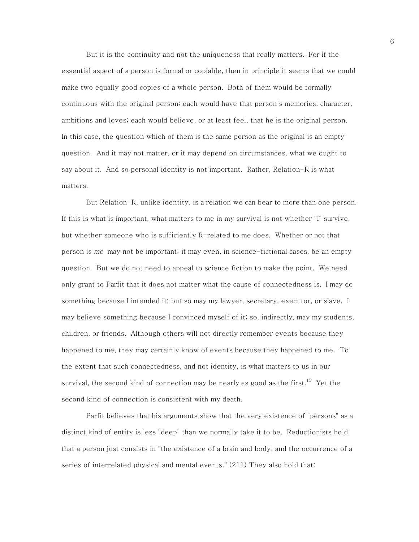But it is the continuity and not the uniqueness that really matters. For if the essential aspect of a person is formal or copiable, then in principle it seems that we could make two equally good copies of a whole person. Both of them would be formally continuous with the original person; each would have that person's memories, character, ambitions and loves; each would believe, or at least feel, that he is the original person. In this case, the question which of them is the same person as the original is an empty question. And it may not matter, or it may depend on circumstances, what we ought to say about it. And so personal identity is not important. Rather, Relation-R is what matters.

But Relation-R, unlike identity, is a relation we can bear to more than one person. If this is what is important, what matters to me in my survival is not whether "I" survive, but whether someone who is sufficiently R-related to me does. Whether or not that person is me may not be important; it may even, in science-fictional cases, be an empty question. But we do not need to appeal to science fiction to make the point. We need only grant to Parfit that it does not matter what the cause of connectedness is. I may do something because I intended it; but so may my lawyer, secretary, executor, or slave. I may believe something because I convinced myself of it; so, indirectly, may my students, children, or friends. Although others will not directly remember events because they happened to me, they may certainly know of events because they happened to me. To the extent that such connectedness, and not identity, is what matters to us in our survival, the second kind of connection may be nearly as good as the first.<sup>15</sup> Yet the second kind of connection is consistent with my death.

Parfit believes that his arguments show that the very existence of "persons" as a distinct kind of entity is less "deep" than we normally take it to be. Reductionists hold that a person just consists in "the existence of a brain and body, and the occurrence of a series of interrelated physical and mental events." (211) They also hold that: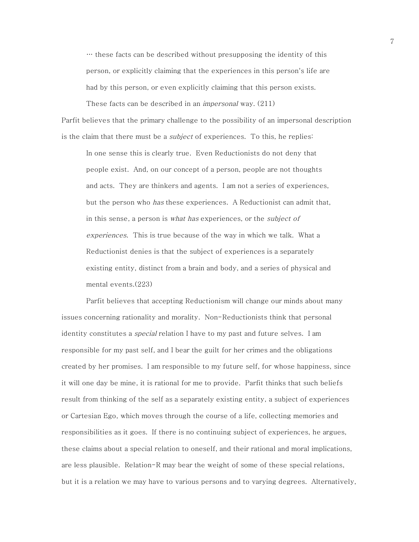⋯ these facts can be described without presupposing the identity of this person, or explicitly claiming that the experiences in this person's life are had by this person, or even explicitly claiming that this person exists. These facts can be described in an impersonal way. (211)

Parfit believes that the primary challenge to the possibility of an impersonal description is the claim that there must be a *subject* of experiences. To this, he replies:

In one sense this is clearly true. Even Reductionists do not deny that people exist. And, on our concept of a person, people are not thoughts and acts. They are thinkers and agents. I am not a series of experiences, but the person who has these experiences. A Reductionist can admit that, in this sense, a person is what has experiences, or the subject of experiences. This is true because of the way in which we talk. What a Reductionist denies is that the subject of experiences is a separately existing entity, distinct from a brain and body, and a series of physical and mental events.(223)

Parfit believes that accepting Reductionism will change our minds about many issues concerning rationality and morality. Non-Reductionists think that personal identity constitutes a *special* relation I have to my past and future selves. I am responsible for my past self, and I bear the guilt for her crimes and the obligations created by her promises. I am responsible to my future self, for whose happiness, since it will one day be mine, it is rational for me to provide. Parfit thinks that such beliefs result from thinking of the self as a separately existing entity, a subject of experiences or Cartesian Ego, which moves through the course of a life, collecting memories and responsibilities as it goes. If there is no continuing subject of experiences, he argues, these claims about a special relation to oneself, and their rational and moral implications, are less plausible. Relation-R may bear the weight of some of these special relations, but it is a relation we may have to various persons and to varying degrees. Alternatively,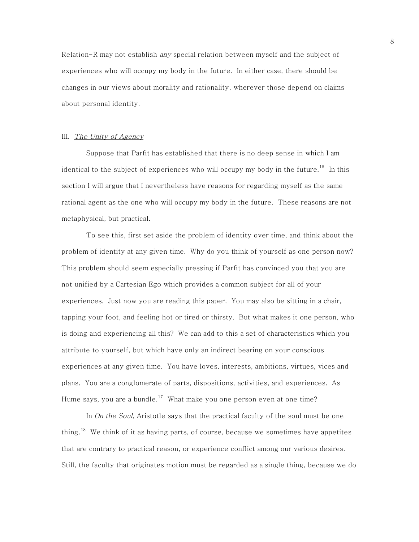Relation-R may not establish any special relation between myself and the subject of experiences who will occupy my body in the future. In either case, there should be changes in our views about morality and rationality, wherever those depend on claims about personal identity.

#### III. The Unity of Agency

Suppose that Parfit has established that there is no deep sense in which I am identical to the subject of experiences who will occupy my body in the future. $^{16}\,$  In this section I will argue that I nevertheless have reasons for regarding myself as the same rational agent as the one who will occupy my body in the future. These reasons are not metaphysical, but practical.

To see this, first set aside the problem of identity over time, and think about the problem of identity at any given time. Why do you think of yourself as one person now? This problem should seem especially pressing if Parfit has convinced you that you are not unified by a Cartesian Ego which provides a common subject for all of your experiences. Just now you are reading this paper. You may also be sitting in a chair, tapping your foot, and feeling hot or tired or thirsty. But what makes it one person, who is doing and experiencing all this? We can add to this a set of characteristics which you attribute to yourself, but which have only an indirect bearing on your conscious experiences at any given time. You have loves, interests, ambitions, virtues, vices and plans. You are a conglomerate of parts, dispositions, activities, and experiences. As Hume says, you are a bundle.<sup>17</sup> What make you one person even at one time?

In On the Soul, Aristotle says that the practical faculty of the soul must be one thing.<sup>18</sup> We think of it as having parts, of course, because we sometimes have appetites that are contrary to practical reason, or experience conflict among our various desires. Still, the faculty that originates motion must be regarded as a single thing, because we do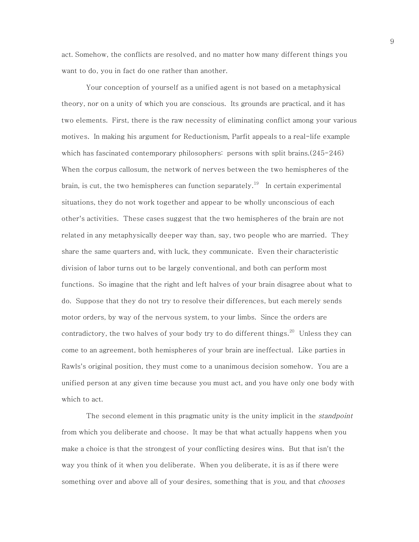act. Somehow, the conflicts are resolved, and no matter how many different things you want to do, you in fact do one rather than another.

Your conception of yourself as a unified agent is not based on a metaphysical theory, nor on a unity of which you are conscious. Its grounds are practical, and it has two elements. First, there is the raw necessity of eliminating conflict among your various motives. In making his argument for Reductionism, Parfit appeals to a real-life example which has fascinated contemporary philosophers: persons with split brains.(245-246) When the corpus callosum, the network of nerves between the two hemispheres of the brain, is cut, the two hemispheres can function separately. $^{\rm 19}$   $\,$  In certain experimental situations, they do not work together and appear to be wholly unconscious of each other's activities. These cases suggest that the two hemispheres of the brain are not related in any metaphysically deeper way than, say, two people who are married. They share the same quarters and, with luck, they communicate. Even their characteristic division of labor turns out to be largely conventional, and both can perform most functions. So imagine that the right and left halves of your brain disagree about what to do. Suppose that they do not try to resolve their differences, but each merely sends motor orders, by way of the nervous system, to your limbs. Since the orders are contradictory, the two halves of your body try to do different things. $^{20}\,$  Unless they can come to an agreement, both hemispheres of your brain are ineffectual. Like parties in Rawls's original position, they must come to a unanimous decision somehow. You are a unified person at any given time because you must act, and you have only one body with which to act.

The second element in this pragmatic unity is the unity implicit in the *standpoint* from which you deliberate and choose. It may be that what actually happens when you make a choice is that the strongest of your conflicting desires wins. But that isn't the way you think of it when you deliberate. When you deliberate, it is as if there were something over and above all of your desires, something that is you, and that chooses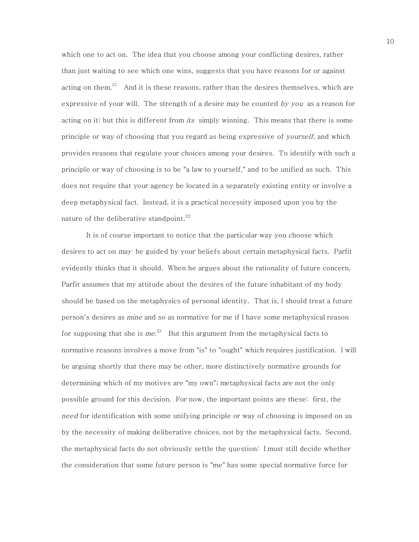which one to act on. The idea that you choose among your conflicting desires, rather than just waiting to see which one wins, suggests that you have reasons for or against acting on them. $^\mathrm{21}$  And it is these reasons, rather than the desires themselves, which are expressive of your will. The strength of a desire may be counted by you as a reason for acting on it; but this is different from *its* simply winning. This means that there is some principle or way of choosing that you regard as being expressive of *yourself*, and which provides reasons that regulate your choices among your desires. To identify with such a principle or way of choosing is to be "a law to yourself," and to be unified as such. This does not require that your agency be located in a separately existing entity or involve a deep metaphysical fact. Instead, it is a practical necessity imposed upon you by the nature of the deliberative standpoint. $^{22}$ 

It is of course important to notice that the particular way you choose which desires to act on may be guided by your beliefs about certain metaphysical facts. Parfit evidently thinks that it should. When he argues about the rationality of future concern, Parfit assumes that my attitude about the desires of the future inhabitant of my body should be based on the metaphysics of personal identity. That is, I should treat a future person's desires as mine and so as normative for me if I have some metaphysical reason for supposing that she is  $me^{.23}$  But this argument from the metaphysical facts to normative reasons involves a move from "is" to "ought" which requires justification. I will be arguing shortly that there may be other, more distinctively normative grounds for determining which of my motives are "my own"; metaphysical facts are not the only possible ground for this decision. For now, the important points are these: first, the need for identification with some unifying principle or way of choosing is imposed on us by the necessity of making deliberative choices, not by the metaphysical facts. Second, the metaphysical facts do not obviously settle the question: I must still decide whether the consideration that some future person is "me" has some special normative force for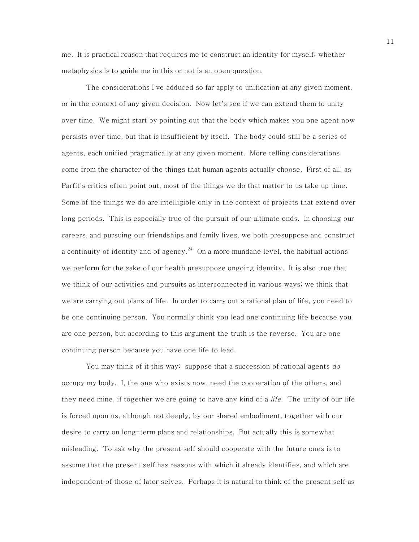me. It is practical reason that requires me to construct an identity for myself; whether metaphysics is to guide me in this or not is an open question.

The considerations I've adduced so far apply to unification at any given moment, or in the context of any given decision. Now let's see if we can extend them to unity over time. We might start by pointing out that the body which makes you one agent now persists over time, but that is insufficient by itself. The body could still be a series of agents, each unified pragmatically at any given moment. More telling considerations come from the character of the things that human agents actually choose. First of all, as Parfit's critics often point out, most of the things we do that matter to us take up time. Some of the things we do are intelligible only in the context of projects that extend over long periods. This is especially true of the pursuit of our ultimate ends. In choosing our careers, and pursuing our friendships and family lives, we both presuppose and construct a continuity of identity and of agency. $^{24}\,$  On a more mundane level, the habitual actions we perform for the sake of our health presuppose ongoing identity. It is also true that we think of our activities and pursuits as interconnected in various ways; we think that we are carrying out plans of life. In order to carry out a rational plan of life, you need to be one continuing person. You normally think you lead one continuing life because you are one person, but according to this argument the truth is the reverse. You are one continuing person because you have one life to lead.

You may think of it this way: suppose that a succession of rational agents do occupy my body. I, the one who exists now, need the cooperation of the others, and they need mine, if together we are going to have any kind of a *life*. The unity of our life is forced upon us, although not deeply, by our shared embodiment, together with our desire to carry on long-term plans and relationships. But actually this is somewhat misleading. To ask why the present self should cooperate with the future ones is to assume that the present self has reasons with which it already identifies, and which are independent of those of later selves. Perhaps it is natural to think of the present self as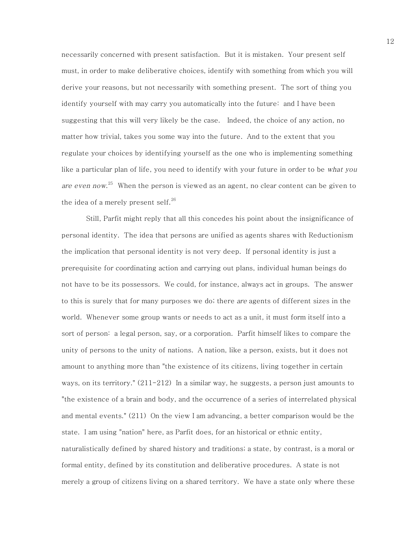necessarily concerned with present satisfaction. But it is mistaken. Your present self must, in order to make deliberative choices, identify with something from which you will derive your reasons, but not necessarily with something present. The sort of thing you identify yourself with may carry you automatically into the future: and I have been suggesting that this will very likely be the case. Indeed, the choice of any action, no matter how trivial, takes you some way into the future. And to the extent that you regulate your choices by identifying yourself as the one who is implementing something like a particular plan of life, you need to identify with your future in order to be what you *are even now*. $^{25}$  When the person is viewed as an agent, no clear content can be given to the idea of a merely present self. $^{26}$ 

Still, Parfit might reply that all this concedes his point about the insignificance of personal identity. The idea that persons are unified as agents shares with Reductionism the implication that personal identity is not very deep. If personal identity is just a prerequisite for coordinating action and carrying out plans, individual human beings do not have to be its possessors. We could, for instance, always act in groups. The answer to this is surely that for many purposes we do; there are agents of different sizes in the world. Whenever some group wants or needs to act as a unit, it must form itself into a sort of person: a legal person, say, or a corporation. Parfit himself likes to compare the unity of persons to the unity of nations. A nation, like a person, exists, but it does not amount to anything more than "the existence of its citizens, living together in certain ways, on its territory."  $(211-212)$  In a similar way, he suggests, a person just amounts to "the existence of a brain and body, and the occurrence of a series of interrelated physical and mental events." (211) On the view I am advancing, a better comparison would be the state. I am using "nation" here, as Parfit does, for an historical or ethnic entity, naturalistically defined by shared history and traditions; a state, by contrast, is a moral or formal entity, defined by its constitution and deliberative procedures. A state is not merely a group of citizens living on a shared territory. We have a state only where these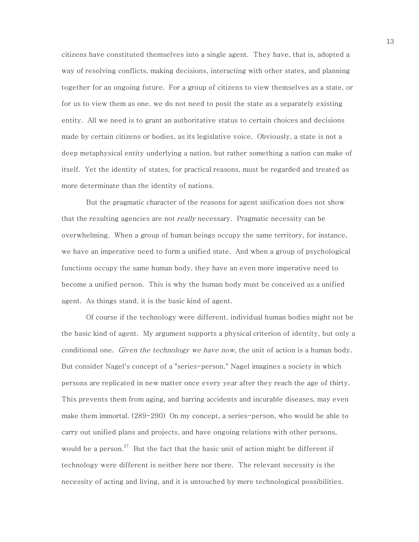citizens have constituted themselves into a single agent. They have, that is, adopted a way of resolving conflicts, making decisions, interacting with other states, and planning together for an ongoing future. For a group of citizens to view themselves as a state, or for us to view them as one, we do not need to posit the state as a separately existing entity. All we need is to grant an authoritative status to certain choices and decisions made by certain citizens or bodies, as its legislative voice. Obviously, a state is not a deep metaphysical entity underlying a nation, but rather something a nation can make of itself. Yet the identity of states, for practical reasons, must be regarded and treated as more determinate than the identity of nations.

But the pragmatic character of the reasons for agent unification does not show that the resulting agencies are not *really* necessary. Pragmatic necessity can be overwhelming. When a group of human beings occupy the same territory, for instance, we have an imperative need to form a unified state. And when a group of psychological functions occupy the same human body, they have an even more imperative need to become a unified person. This is why the human body must be conceived as a unified agent. As things stand, it is the basic kind of agent.

Of course if the technology were different, individual human bodies might not be the basic kind of agent. My argument supports a physical criterion of identity, but only a conditional one. Given the technology we have now, the unit of action is a human body. But consider Nagel's concept of a "series-person." Nagel imagines a society in which persons are replicated in new matter once every year after they reach the age of thirty. This prevents them from aging, and barring accidents and incurable diseases, may even make them immortal. (289-290) On my concept, a series-person, who would be able to carry out unified plans and projects, and have ongoing relations with other persons, would be a person. <sup>27</sup> But the fact that the basic unit of action might be different if technology were different is neither here nor there. The relevant necessity is the necessity of acting and living, and it is untouched by mere technological possibilities.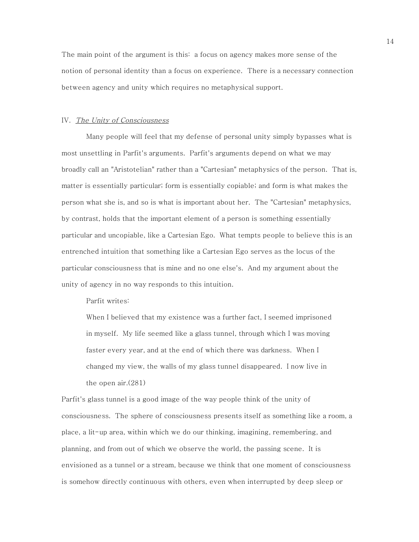The main point of the argument is this: a focus on agency makes more sense of the notion of personal identity than a focus on experience. There is a necessary connection between agency and unity which requires no metaphysical support.

#### IV. The Unity of Consciousness

Many people will feel that my defense of personal unity simply bypasses what is most unsettling in Parfit's arguments. Parfit's arguments depend on what we may broadly call an "Aristotelian" rather than a "Cartesian" metaphysics of the person. That is, matter is essentially particular; form is essentially copiable; and form is what makes the person what she is, and so is what is important about her. The "Cartesian" metaphysics, by contrast, holds that the important element of a person is something essentially particular and uncopiable, like a Cartesian Ego. What tempts people to believe this is an entrenched intuition that something like a Cartesian Ego serves as the locus of the particular consciousness that is mine and no one else's. And my argument about the unity of agency in no way responds to this intuition.

Parfit writes:

When I believed that my existence was a further fact, I seemed imprisoned in myself. My life seemed like a glass tunnel, through which I was moving faster every year, and at the end of which there was darkness. When I changed my view, the walls of my glass tunnel disappeared. I now live in the open air.(281)

Parfit's glass tunnel is a good image of the way people think of the unity of consciousness. The sphere of consciousness presents itself as something like a room, a place, a lit-up area, within which we do our thinking, imagining, remembering, and planning, and from out of which we observe the world, the passing scene. It is envisioned as a tunnel or a stream, because we think that one moment of consciousness is somehow directly continuous with others, even when interrupted by deep sleep or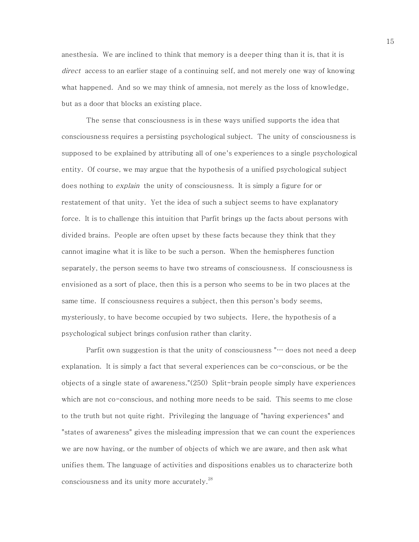anesthesia. We are inclined to think that memory is a deeper thing than it is, that it is direct access to an earlier stage of a continuing self, and not merely one way of knowing what happened. And so we may think of amnesia, not merely as the loss of knowledge, but as a door that blocks an existing place.

The sense that consciousness is in these ways unified supports the idea that consciousness requires a persisting psychological subject. The unity of consciousness is supposed to be explained by attributing all of one's experiences to a single psychological entity. Of course, we may argue that the hypothesis of a unified psychological subject does nothing to explain the unity of consciousness. It is simply a figure for or restatement of that unity. Yet the idea of such a subject seems to have explanatory force. It is to challenge this intuition that Parfit brings up the facts about persons with divided brains. People are often upset by these facts because they think that they cannot imagine what it is like to be such a person. When the hemispheres function separately, the person seems to have two streams of consciousness. If consciousness is envisioned as a sort of place, then this is a person who seems to be in two places at the same time. If consciousness requires a subject, then this person's body seems, mysteriously, to have become occupied by two subjects. Here, the hypothesis of a psychological subject brings confusion rather than clarity.

Parfit own suggestion is that the unity of consciousness "⋯ does not need a deep explanation. It is simply a fact that several experiences can be co-conscious, or be the objects of a single state of awareness."(250) Split-brain people simply have experiences which are not co-conscious, and nothing more needs to be said. This seems to me close to the truth but not quite right. Privileging the language of "having experiences" and "states of awareness" gives the misleading impression that we can count the experiences we are now having, or the number of objects of which we are aware, and then ask what unifies them. The language of activities and dispositions enables us to characterize both consciousness and its unity more accurately. $^{28}$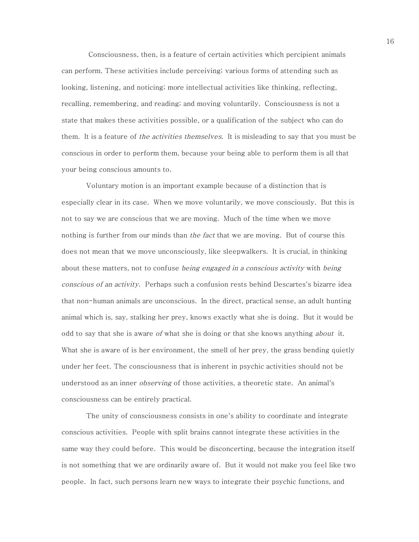Consciousness, then, is a feature of certain activities which percipient animals can perform. These activities include perceiving; various forms of attending such as looking, listening, and noticing; more intellectual activities like thinking, reflecting, recalling, remembering, and reading; and moving voluntarily. Consciousness is not a state that makes these activities possible, or a qualification of the subject who can do them. It is a feature of *the activities themselves*. It is misleading to say that you must be conscious in order to perform them, because your being able to perform them is all that your being conscious amounts to.

Voluntary motion is an important example because of a distinction that is especially clear in its case. When we move voluntarily, we move consciously. But this is not to say we are conscious that we are moving. Much of the time when we move nothing is further from our minds than the fact that we are moving. But of course this does not mean that we move unconsciously, like sleepwalkers. It is crucial, in thinking about these matters, not to confuse *being engaged in a conscious activity* with *being* conscious of an activity. Perhaps such a confusion rests behind Descartes's bizarre idea that non-human animals are unconscious. In the direct, practical sense, an adult hunting animal which is, say, stalking her prey, knows exactly what she is doing. But it would be odd to say that she is aware of what she is doing or that she knows anything about it. What she is aware of is her environment, the smell of her prey, the grass bending quietly under her feet. The consciousness that is inherent in psychic activities should not be understood as an inner *observing* of those activities, a theoretic state. An animal's consciousness can be entirely practical.

The unity of consciousness consists in one's ability to coordinate and integrate conscious activities. People with split brains cannot integrate these activities in the same way they could before. This would be disconcerting, because the integration itself is not something that we are ordinarily aware of. But it would not make you feel like two people. In fact, such persons learn new ways to integrate their psychic functions, and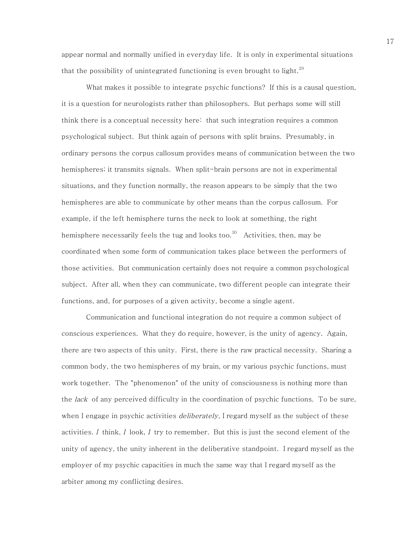appear normal and normally unified in everyday life. It is only in experimental situations that the possibility of unintegrated functioning is even brought to light. $^{29}$ 

What makes it possible to integrate psychic functions? If this is a causal question, it is a question for neurologists rather than philosophers. But perhaps some will still think there is a conceptual necessity here: that such integration requires a common psychological subject. But think again of persons with split brains. Presumably, in ordinary persons the corpus callosum provides means of communication between the two hemispheres; it transmits signals. When split-brain persons are not in experimental situations, and they function normally, the reason appears to be simply that the two hemispheres are able to communicate by other means than the corpus callosum. For example, if the left hemisphere turns the neck to look at something, the right hemisphere necessarily feels the tug and looks too.<sup>30</sup> Activities, then, may be coordinated when some form of communication takes place between the performers of those activities. But communication certainly does not require a common psychological subject. After all, when they can communicate, two different people can integrate their functions, and, for purposes of a given activity, become a single agent.

Communication and functional integration do not require a common subject of conscious experiences. What they do require, however, is the unity of agency. Again, there are two aspects of this unity. First, there is the raw practical necessity. Sharing a common body, the two hemispheres of my brain, or my various psychic functions, must work together. The "phenomenon" of the unity of consciousness is nothing more than the *lack* of any perceived difficulty in the coordination of psychic functions. To be sure, when I engage in psychic activities *deliberately*, I regard myself as the subject of these activities. I think, I look, I try to remember. But this is just the second element of the unity of agency, the unity inherent in the deliberative standpoint. I regard myself as the employer of my psychic capacities in much the same way that I regard myself as the arbiter among my conflicting desires.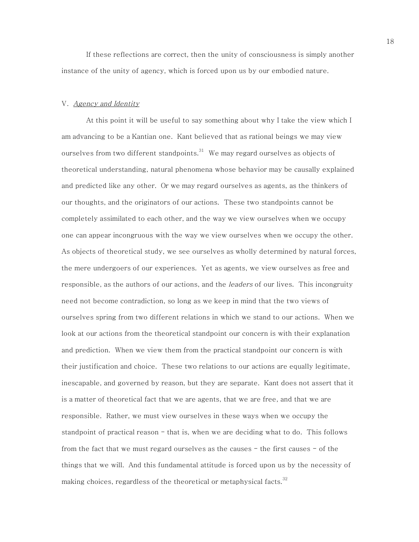If these reflections are correct, then the unity of consciousness is simply another instance of the unity of agency, which is forced upon us by our embodied nature.

#### V. Agency and Identity

At this point it will be useful to say something about why I take the view which I am advancing to be a Kantian one. Kant believed that as rational beings we may view ourselves from two different standpoints. $^{\rm 31}$  We may regard ourselves as objects of theoretical understanding, natural phenomena whose behavior may be causally explained and predicted like any other. Or we may regard ourselves as agents, as the thinkers of our thoughts, and the originators of our actions. These two standpoints cannot be completely assimilated to each other, and the way we view ourselves when we occupy one can appear incongruous with the way we view ourselves when we occupy the other. As objects of theoretical study, we see ourselves as wholly determined by natural forces, the mere undergoers of our experiences. Yet as agents, we view ourselves as free and responsible, as the authors of our actions, and the *leaders* of our lives. This incongruity need not become contradiction, so long as we keep in mind that the two views of ourselves spring from two different relations in which we stand to our actions. When we look at our actions from the theoretical standpoint our concern is with their explanation and prediction. When we view them from the practical standpoint our concern is with their justification and choice. These two relations to our actions are equally legitimate, inescapable, and governed by reason, but they are separate. Kant does not assert that it is a matter of theoretical fact that we are agents, that we are free, and that we are responsible. Rather, we must view ourselves in these ways when we occupy the standpoint of practical reason - that is, when we are deciding what to do. This follows from the fact that we must regard ourselves as the causes  $-$  the first causes  $-$  of the things that we will. And this fundamental attitude is forced upon us by the necessity of making choices, regardless of the theoretical or metaphysical facts. $^{\rm 32}$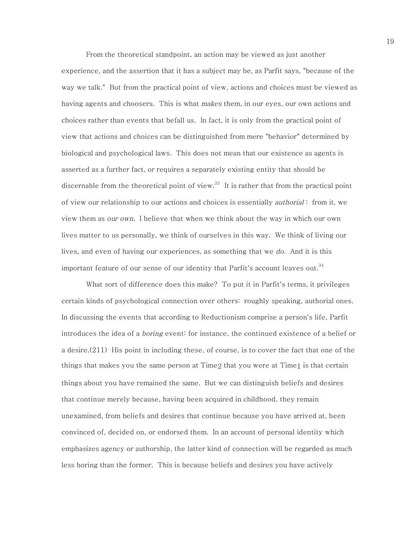From the theoretical standpoint, an action may be viewed as just another experience, and the assertion that it has a subject may be, as Parfit says, "because of the way we talk." But from the practical point of view, actions and choices must be viewed as having agents and choosers. This is what *makes* them, in our eyes, our own actions and choices rather than events that befall us. In fact, it is only from the practical point of view that actions and choices can be distinguished from mere "behavior" determined by biological and psychological laws. This does not mean that our existence as agents is asserted as a further fact, or requires a separately existing entity that should be discernable from the theoretical point of view. $^{\rm 33}$  It is rather that from the practical point of view our relationship to our actions and choices is essentially *authorial* : from it, we view them as *our own*. I believe that when we think about the way in which our own lives matter to us personally, we think of ourselves in this way. We think of living our lives, and even of having our experiences, as something that we do. And it is this important feature of our sense of our identity that Parfit's account leaves out. $^{34}$ 

What sort of difference does this make? To put it in Parfit's terms, it privileges certain kinds of psychological connection over others: roughly speaking, authorial ones. In discussing the events that according to Reductionism comprise a person's life, Parfit introduces the idea of a boring event: for instance, the continued existence of a belief or a desire.(211) His point in including these, of course, is to cover the fact that one of the things that makes you the same person at  $Time<sub>2</sub>$  that you were at  $Time<sub>1</sub>$  is that certain things about you have remained the same. But we can distinguish beliefs and desires that continue merely because, having been acquired in childhood, they remain unexamined, from beliefs and desires that continue because you have arrived at, been convinced of, decided on, or endorsed them. In an account of personal identity which emphasizes agency or authorship, the latter kind of connection will be regarded as much less boring than the former. This is because beliefs and desires you have actively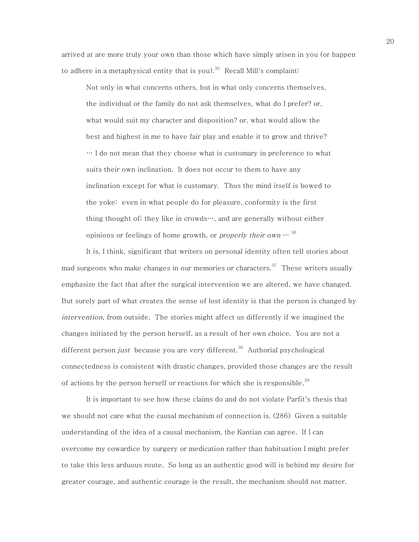arrived at are more truly your own than those which have simply arisen in you (or happen to adhere in a metaphysical entity that is you). $^{35}\,$  Recall Mill's complaint:

Not only in what concerns others, but in what only concerns themselves, the individual or the family do not ask themselves, what do I prefer? or, what would suit my character and disposition? or, what would allow the best and highest in me to have fair play and enable it to grow and thrive? ⋯ I do not mean that they choose what is customary in preference to what suits their own inclination. It does not occur to them to have any inclination except for what is customary. Thus the mind itself is bowed to the yoke: even in what people do for pleasure, conformity is the first thing thought of; they like in crowds⋯, and are generally without either opinions or feelings of home growth, or *properly their own*  $\cdots$  <sup>36</sup>

It is, I think, significant that writers on personal identity often tell stories about mad surgeons who make changes in our memories or characters.<sup>37</sup> These writers usually emphasize the fact that after the surgical intervention we are altered, we have changed. But surely part of what creates the sense of lost identity is that the person is changed by intervention, from outside. The stories might affect us differently if we imagined the changes initiated by the person herself, as a result of her own choice. You are not a different person just because you are very different. <sup>38</sup> Authorial psychological connectedness is consistent with drastic changes, provided those changes are the result of actions by the person herself or reactions for which she is responsible. $^{\rm 39}$ 

It is important to see how these claims do and do not violate Parfit's thesis that we should not care what the causal mechanism of connection is. (286) Given a suitable understanding of the idea of a causal mechanism, the Kantian can agree. If I can overcome my cowardice by surgery or medication rather than habituation I might prefer to take this less arduous route. So long as an authentic good will is behind my desire for greater courage, and authentic courage is the result, the mechanism should not matter.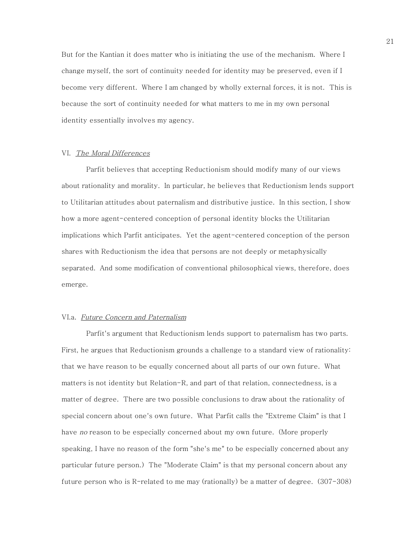But for the Kantian it does matter who is initiating the use of the mechanism. Where I change myself, the sort of continuity needed for identity may be preserved, even if I become very different. Where I am changed by wholly external forces, it is not. This is because the sort of continuity needed for what matters to me in my own personal identity essentially involves my agency.

#### VI. The Moral Differences

Parfit believes that accepting Reductionism should modify many of our views about rationality and morality. In particular, he believes that Reductionism lends support to Utilitarian attitudes about paternalism and distributive justice. In this section, I show how a more agent-centered conception of personal identity blocks the Utilitarian implications which Parfit anticipates. Yet the agent-centered conception of the person shares with Reductionism the idea that persons are not deeply or metaphysically separated. And some modification of conventional philosophical views, therefore, does emerge.

#### VI.a. Future Concern and Paternalism

Parfit's argument that Reductionism lends support to paternalism has two parts. First, he argues that Reductionism grounds a challenge to a standard view of rationality: that we have reason to be equally concerned about all parts of our own future. What matters is not identity but Relation-R, and part of that relation, connectedness, is a matter of degree. There are two possible conclusions to draw about the rationality of special concern about one's own future. What Parfit calls the "Extreme Claim" is that I have no reason to be especially concerned about my own future. (More properly speaking, I have no reason of the form "she's me" to be especially concerned about any particular future person.) The "Moderate Claim" is that my personal concern about any future person who is R-related to me may (rationally) be a matter of degree. (307-308)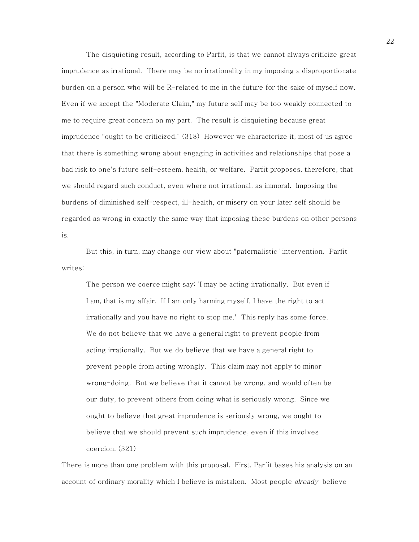The disquieting result, according to Parfit, is that we cannot always criticize great imprudence as irrational. There may be no irrationality in my imposing a disproportionate burden on a person who will be R-related to me in the future for the sake of myself now. Even if we accept the "Moderate Claim," my future self may be too weakly connected to me to require great concern on my part. The result is disquieting because great imprudence "ought to be criticized." (318) However we characterize it, most of us agree that there is something wrong about engaging in activities and relationships that pose a bad risk to one's future self-esteem, health, or welfare. Parfit proposes, therefore, that we should regard such conduct, even where not irrational, as immoral. Imposing the burdens of diminished self-respect, ill-health, or misery on your later self should be regarded as wrong in exactly the same way that imposing these burdens on other persons is.

But this, in turn, may change our view about "paternalistic" intervention. Parfit writes:

The person we coerce might say: 'I may be acting irrationally. But even if I am, that is my affair. If I am only harming myself, I have the right to act irrationally and you have no right to stop me.' This reply has some force. We do not believe that we have a general right to prevent people from acting irrationally. But we do believe that we have a general right to prevent people from acting wrongly. This claim may not apply to minor wrong-doing. But we believe that it cannot be wrong, and would often be our duty, to prevent others from doing what is seriously wrong. Since we ought to believe that great imprudence is seriously wrong, we ought to believe that we should prevent such imprudence, even if this involves coercion. (321)

There is more than one problem with this proposal. First, Parfit bases his analysis on an account of ordinary morality which I believe is mistaken. Most people already believe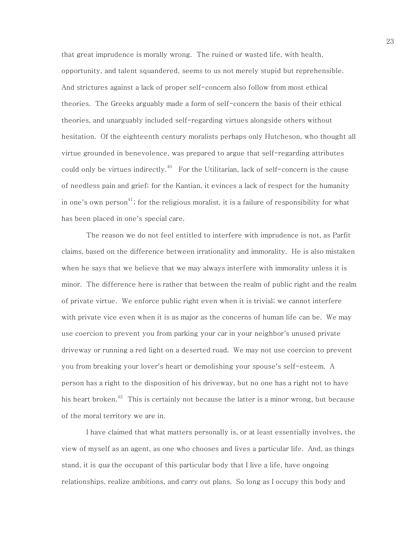that great imprudence is morally wrong. The ruined or wasted life, with health, opportunity, and talent squandered, seems to us not merely stupid but reprehensible. And strictures against a lack of proper self-concern also follow from most ethical theories. The Greeks arguably made a form of self-concern the basis of their ethical theories, and unarguably included self-regarding virtues alongside others without hesitation. Of the eighteenth century moralists perhaps only Hutcheson, who thought all virtue grounded in benevolence, was prepared to argue that self-regarding attributes could only be virtues indirectly. $^{40}$  For the Utilitarian, lack of self-concern is the cause of needless pain and grief; for the Kantian, it evinces a lack of respect for the humanity in one's own person $^{\rm 41}$ ; for the religious moralist, it is a failure of responsibility for what has been placed in one's special care.

The reason we do not feel entitled to interfere with imprudence is not, as Parfit claims, based on the difference between irrationality and immorality. He is also mistaken when he says that we believe that we may always interfere with immorality unless it is minor. The difference here is rather that between the realm of public right and the realm of private virtue. We enforce public right even when it is trivial; we cannot interfere with private vice even when it is as major as the concerns of human life can be. We may use coercion to prevent you from parking your car in your neighbor's unused private driveway or running a red light on a deserted road. We may not use coercion to prevent you from breaking your lover's heart or demolishing your spouse's self-esteem. A person has a right to the disposition of his driveway, but no one has a right not to have his heart broken. <sup>42</sup> This is certainly not because the latter is a minor wrong, but because of the moral territory we are in.

I have claimed that what matters personally is, or at least essentially involves, the view of myself as an agent, as one who chooses and lives a particular life. And, as things stand, it is *qua* the occupant of this particular body that I live a life, have ongoing relationships, realize ambitions, and carry out plans. So long as I occupy this body and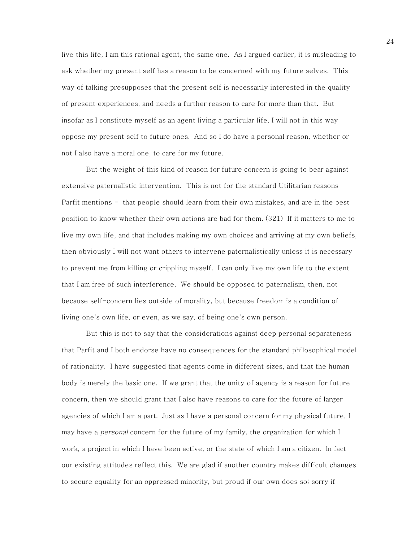live this life, I am this rational agent, the same one. As I argued earlier, it is misleading to ask whether my present self has a reason to be concerned with my future selves. This way of talking presupposes that the present self is necessarily interested in the quality of present experiences, and needs a further reason to care for more than that. But insofar as I constitute myself as an agent living a particular life, I will not in this way oppose my present self to future ones. And so I do have a personal reason, whether or not I also have a moral one, to care for my future.

But the weight of this kind of reason for future concern is going to bear against extensive paternalistic intervention. This is not for the standard Utilitarian reasons Parfit mentions - that people should learn from their own mistakes, and are in the best position to know whether their own actions are bad for them. (321) If it matters to me to live my own life, and that includes making my own choices and arriving at my own beliefs, then obviously I will not want others to intervene paternalistically unless it is necessary to prevent me from killing or crippling myself. I can only live my own life to the extent that I am free of such interference. We should be opposed to paternalism, then, not because self-concern lies outside of morality, but because freedom is a condition of living one's own life, or even, as we say, of being one's own person.

But this is not to say that the considerations against deep personal separateness that Parfit and I both endorse have no consequences for the standard philosophical model of rationality. I have suggested that agents come in different sizes, and that the human body is merely the basic one. If we grant that the unity of agency is a reason for future concern, then we should grant that I also have reasons to care for the future of larger agencies of which I am a part. Just as I have a personal concern for my physical future, I may have a personal concern for the future of my family, the organization for which I work, a project in which I have been active, or the state of which I am a citizen. In fact our existing attitudes reflect this. We are glad if another country makes difficult changes to secure equality for an oppressed minority, but proud if our own does so; sorry if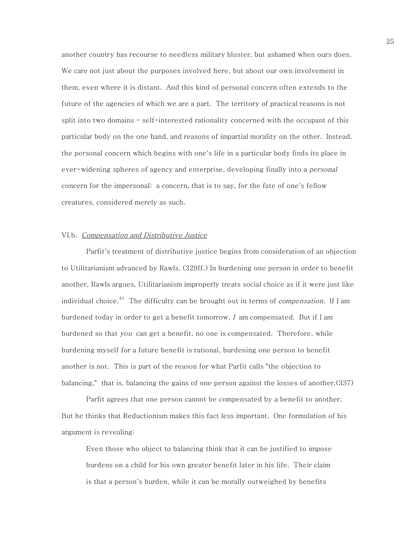another country has recourse to needless military bluster, but ashamed when ours does. We care not just about the purposes involved here, but about our own involvement in them, even where it is distant. And this kind of personal concern often extends to the future of the agencies of which we are a part. The territory of practical reasons is not split into two domains - self-interested rationality concerned with the occupant of this particular body on the one hand, and reasons of impartial morality on the other. Instead, the personal concern which begins with one's life in a particular body finds its place in ever-widening spheres of agency and enterprise, developing finally into a *personal* concern for the impersonal: a concern, that is to say, for the fate of one's fellow creatures, considered merely as such.

#### VI.b. Compensation and Distributive Justice

Parfit's treatment of distributive justice begins from consideration of an objection to Utilitarianism advanced by Rawls. (329ff.) In burdening one person in order to benefit another, Rawls argues, Utilitarianism improperly treats social choice as if it were just like individual choice.<sup>43</sup> The difficulty can be brought out in terms of *compensation*. If I am burdened today in order to get a benefit tomorrow,  $I$  am compensated. But if I am burdened so that you can get a benefit, no one is compensated. Therefore, while burdening myself for a future benefit is rational, burdening one person to benefit another is not. This is part of the reason for what Parfit calls "the objection to balancing," that is, balancing the gains of one person against the losses of another.(337)

Parfit agrees that one person cannot be compensated by a benefit to another. But he thinks that Reductionism makes this fact less important. One formulation of his argument is revealing:

Even those who object to balancing think that it can be justified to impose burdens on a child for his own greater benefit later in his life. Their claim is that a person's burden, while it can be morally outweighed by benefits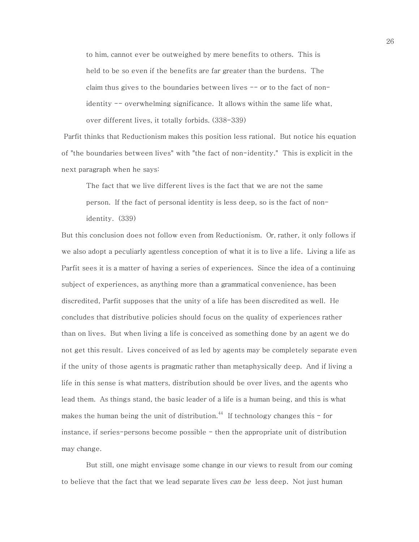to him, cannot ever be outweighed by mere benefits to others. This is held to be so even if the benefits are far greater than the burdens. The claim thus gives to the boundaries between lives  $-$ - or to the fact of nonidentity -- overwhelming significance. It allows within the same life what, over different lives, it totally forbids. (338-339)

Parfit thinks that Reductionism makes this position less rational. But notice his equation of "the boundaries between lives" with "the fact of non-identity." This is explicit in the next paragraph when he says:

The fact that we live different lives is the fact that we are not the same

person. If the fact of personal identity is less deep, so is the fact of non-

identity. (339)

But this conclusion does not follow even from Reductionism. Or, rather, it only follows if we also adopt a peculiarly agentless conception of what it is to live a life. Living a life as Parfit sees it is a matter of having a series of experiences. Since the idea of a continuing subject of experiences, as anything more than a grammatical convenience, has been discredited, Parfit supposes that the unity of a life has been discredited as well. He concludes that distributive policies should focus on the quality of experiences rather than on lives. But when living a life is conceived as something done by an agent we do not get this result. Lives conceived of as led by agents may be completely separate even if the unity of those agents is pragmatic rather than metaphysically deep. And if living a life in this sense is what matters, distribution should be over lives, and the agents who lead them. As things stand, the basic leader of a life is a human being, and this is what makes the human being the unit of distribution. $^\mathrm{44}$  If technology changes this - for instance, if series-persons become possible  $-$  then the appropriate unit of distribution may change.

But still, one might envisage some change in our views to result from our coming to believe that the fact that we lead separate lives *can be* less deep. Not just human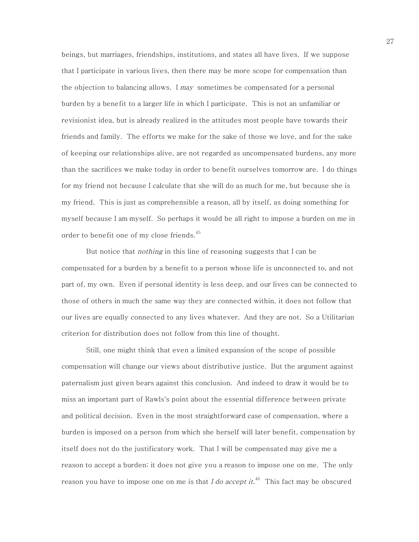beings, but marriages, friendships, institutions, and states all have lives. If we suppose that I participate in various lives, then there may be more scope for compensation than the objection to balancing allows. I may sometimes be compensated for a personal burden by a benefit to a larger life in which I participate. This is not an unfamiliar or revisionist idea, but is already realized in the attitudes most people have towards their friends and family. The efforts we make for the sake of those we love, and for the sake of keeping our relationships alive, are not regarded as uncompensated burdens, any more than the sacrifices we make today in order to benefit ourselves tomorrow are. I do things for my friend not because I calculate that she will do as much for me, but because she is my friend. This is just as comprehensible a reason, all by itself, as doing something for myself because I am myself. So perhaps it would be all right to impose a burden on me in order to benefit one of my close friends. 45

But notice that nothing in this line of reasoning suggests that I can be compensated for a burden by a benefit to a person whose life is unconnected to, and not part of, my own. Even if personal identity is less deep, and our lives can be connected to those of others in much the same way they are connected within, it does not follow that our lives are equally connected to any lives whatever. And they are not. So a Utilitarian criterion for distribution does not follow from this line of thought.

Still, one might think that even a limited expansion of the scope of possible compensation will change our views about distributive justice. But the argument against paternalism just given bears against this conclusion. And indeed to draw it would be to miss an important part of Rawls's point about the essential difference between private and political decision. Even in the most straightforward case of compensation, where a burden is imposed on a person from which she herself will later benefit, compensation by itself does not do the justificatory work. That I will be compensated may give me a reason to accept a burden; it does not give you a reason to impose one on me. The only reason you have to impose one on me is that *I do accept it*. $^{46}$   $\,$  This fact may be obscured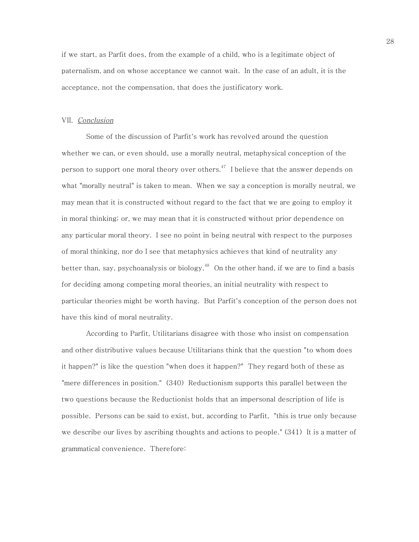if we start, as Parfit does, from the example of a child, who is a legitimate object of paternalism, and on whose acceptance we cannot wait. In the case of an adult, it is the acceptance, not the compensation, that does the justificatory work.

#### VII. Conclusion

Some of the discussion of Parfit's work has revolved around the question whether we can, or even should, use a morally neutral, metaphysical conception of the person to support one moral theory over others. $^{47}$  Ibelieve that the answer depends on what "morally neutral" is taken to mean. When we say a conception is morally neutral, we may mean that it is constructed without regard to the fact that we are going to employ it in moral thinking; or, we may mean that it is constructed without prior dependence on any particular moral theory. I see no point in being neutral with respect to the purposes of moral thinking, nor do I see that metaphysics achieves that kind of neutrality any better than, say, psychoanalysis or biology. $^{48}\,$  On the other hand, if we are to find a basis for deciding among competing moral theories, an initial neutrality with respect to particular theories might be worth having. But Parfit's conception of the person does not have this kind of moral neutrality.

According to Parfit, Utilitarians disagree with those who insist on compensation and other distributive values because Utilitarians think that the question "to whom does it happen?" is like the question "when does it happen?" They regard both of these as "mere differences in position." (340) Reductionism supports this parallel between the two questions because the Reductionist holds that an impersonal description of life is possible. Persons can be said to exist, but, according to Parfit, "this is true only because we describe our lives by ascribing thoughts and actions to people." (341) It is a matter of grammatical convenience. Therefore: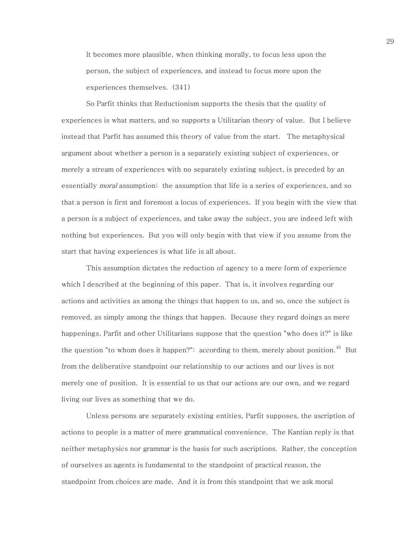It becomes more plausible, when thinking morally, to focus less upon the person, the subject of experiences, and instead to focus more upon the experiences themselves. (341)

So Parfit thinks that Reductionism supports the thesis that the quality of experiences is what matters, and so supports a Utilitarian theory of value. But I believe instead that Parfit has assumed this theory of value from the start. The metaphysical argument about whether a person is a separately existing subject of experiences, or merely a stream of experiences with no separately existing subject, is preceded by an essentially *moral* assumption: the assumption that life is a series of experiences, and so that a person is first and foremost a locus of experiences. If you begin with the view that a person is a subject of experiences, and take away the subject, you are indeed left with nothing but experiences. But you will only begin with that view if you assume from the start that having experiences is what life is all about.

This assumption dictates the reduction of agency to a mere form of experience which I described at the beginning of this paper. That is, it involves regarding our actions and activities as among the things that happen to us, and so, once the subject is removed, as simply among the things that happen. Because they regard doings as mere happenings, Parfit and other Utilitarians suppose that the question "who does it?" is like the question "to whom does it happen?": according to them, merely about position. $^\mathrm{49}$  But from the deliberative standpoint our relationship to our actions and our lives is not merely one of position. It is essential to us that our actions are our own, and we regard living our lives as something that we do.

Unless persons are separately existing entities, Parfit supposes, the ascription of actions to people is a matter of mere grammatical convenience. The Kantian reply is that neither metaphysics nor grammar is the basis for such ascriptions. Rather, the conception of ourselves as agents is fundamental to the standpoint of practical reason, the standpoint from choices are made. And it is from this standpoint that we ask moral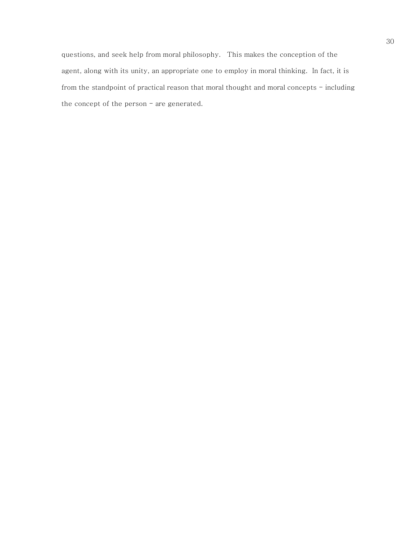questions, and seek help from moral philosophy. This makes the conception of the agent, along with its unity, an appropriate one to employ in moral thinking. In fact, it is from the standpoint of practical reason that moral thought and moral concepts  $-$  including the concept of the person - are generated.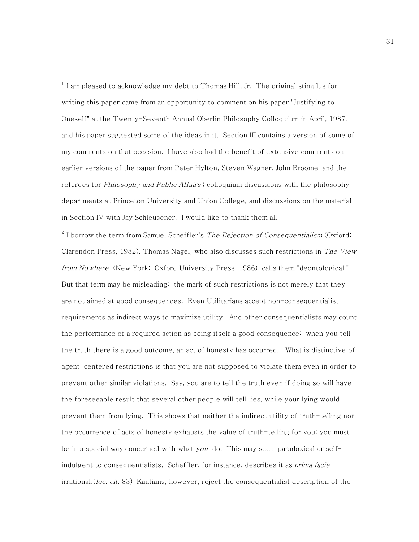$1$  I am pleased to acknowledge my debt to Thomas Hill, Jr. The original stimulus for writing this paper came from an opportunity to comment on his paper "Justifying to Oneself" at the Twenty-Seventh Annual Oberlin Philosophy Colloquium in April, 1987, and his paper suggested some of the ideas in it. Section III contains a version of some of my comments on that occasion. I have also had the benefit of extensive comments on earlier versions of the paper from Peter Hylton, Steven Wagner, John Broome, and the referees for *Philosophy and Public Affairs*; colloquium discussions with the philosophy departments at Princeton University and Union College, and discussions on the material in Section IV with Jay Schleusener. I would like to thank them all.

l

 $2$  I borrow the term from Samuel Scheffler's *The Rejection of Consequentialism* (Oxford: Clarendon Press, 1982). Thomas Nagel, who also discusses such restrictions in The View from Nowhere (New York: Oxford University Press, 1986), calls them "deontological." But that term may be misleading: the mark of such restrictions is not merely that they are not aimed at good consequences. Even Utilitarians accept non-consequentialist requirements as indirect ways to maximize utility. And other consequentialists may count the performance of a required action as being itself a good consequence: when you tell the truth there is a good outcome, an act of honesty has occurred. What is distinctive of agent-centered restrictions is that you are not supposed to violate them even in order to prevent other similar violations. Say, you are to tell the truth even if doing so will have the foreseeable result that several other people will tell lies, while your lying would prevent them from lying. This shows that neither the indirect utility of truth-telling nor the occurrence of acts of honesty exhausts the value of truth-telling for you; you must be in a special way concerned with what you do. This may seem paradoxical or selfindulgent to consequentialists. Scheffler, for instance, describes it as *prima facie* irrational.(loc. cit. 83) Kantians, however, reject the consequentialist description of the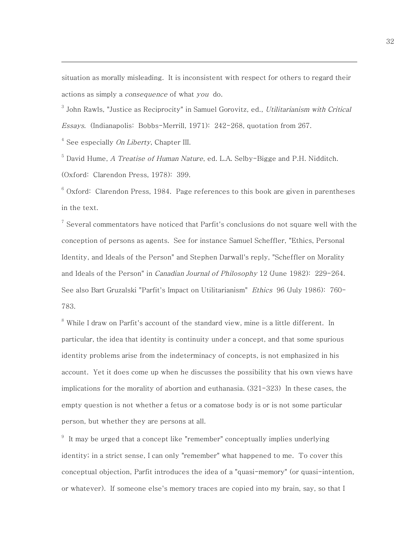situation as morally misleading. It is inconsistent with respect for others to regard their actions as simply a consequence of what you do.

 $3$  John Rawls, "Justice as Reciprocity" in Samuel Gorovitz, ed., Utilitarianism with Critical Essays. (Indianapolis: Bobbs-Merrill, 1971): 242-268, quotation from 267.

 $<sup>4</sup>$  See especially On Liberty, Chapter III.</sup>

l

 $5$  David Hume, A Treatise of Human Nature, ed. L.A. Selby-Bigge and P.H. Nidditch. (Oxford: Clarendon Press, 1978): 399.

 $6$  Oxford: Clarendon Press, 1984. Page references to this book are given in parentheses in the text.

 $^7$  Several commentators have noticed that Parfit's conclusions do not square well with the conception of persons as agents. See for instance Samuel Scheffler, "Ethics, Personal Identity, and Ideals of the Person" and Stephen Darwall's reply, "Scheffler on Morality and Ideals of the Person" in Canadian Journal of Philosophy 12 (June 1982): 229-264. See also Bart Gruzalski "Parfit's Impact on Utilitarianism" Ethics 96 (July 1986): 760- 783.

 $8$  While I draw on Parfit's account of the standard view, mine is a little different. In particular, the idea that identity is continuity under a concept, and that some spurious identity problems arise from the indeterminacy of concepts, is not emphasized in his account. Yet it does come up when he discusses the possibility that his own views have implications for the morality of abortion and euthanasia.  $(321-323)$  In these cases, the empty question is not whether a fetus or a comatose body is or is not some particular person, but whether they are persons at all.

 $9$  It may be urged that a concept like "remember" conceptually implies underlying identity; in a strict sense, I can only "remember" what happened to me. To cover this conceptual objection, Parfit introduces the idea of a "quasi-memory" (or quasi-intention, or whatever). If someone else's memory traces are copied into my brain, say, so that I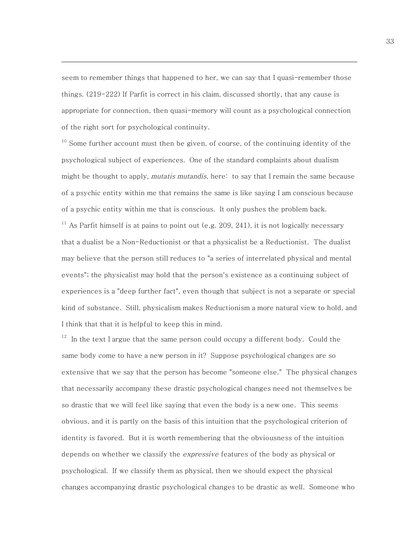seem to remember things that happened to her, we can say that I quasi-remember those things. (219-222) If Parfit is correct in his claim, discussed shortly, that any cause is appropriate for connection, then quasi-memory will count as a psychological connection of the right sort for psychological continuity.

l

 $10$  Some further account must then be given, of course, of the continuing identity of the psychological subject of experiences. One of the standard complaints about dualism might be thought to apply, mutatis mutandis, here: to say that I remain the same because of a psychic entity within me that remains the same is like saying I am conscious because of a psychic entity within me that is conscious. It only pushes the problem back.  $11$  As Parfit himself is at pains to point out (e.g. 209, 241), it is not logically necessary that a dualist be a Non-Reductionist or that a physicalist be a Reductionist. The dualist may believe that the person still reduces to "a series of interrelated physical and mental events"; the physicalist may hold that the person's existence as a continuing subject of experiences is a "deep further fact", even though that subject is not a separate or special kind of substance. Still, physicalism makes Reductionism a more natural view to hold, and I think that that it is helpful to keep this in mind.

 $12$  In the text I argue that the same person could occupy a different body. Could the same body come to have a new person in it? Suppose psychological changes are so extensive that we say that the person has become "someone else." The physical changes that necessarily accompany these drastic psychological changes need not themselves be so drastic that we will feel like saying that even the body is a new one. This seems obvious, and it is partly on the basis of this intuition that the psychological criterion of identity is favored. But it is worth remembering that the obviousness of the intuition depends on whether we classify the *expressive* features of the body as physical or psychological. If we classify them as physical, then we should expect the physical changes accompanying drastic psychological changes to be drastic as well. Someone who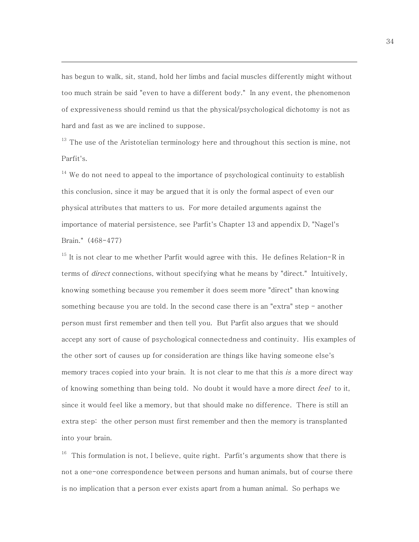has begun to walk, sit, stand, hold her limbs and facial muscles differently might without too much strain be said "even to have a different body." In any event, the phenomenon of expressiveness should remind us that the physical/psychological dichotomy is not as hard and fast as we are inclined to suppose.

l

 $13$  The use of the Aristotelian terminology here and throughout this section is mine, not Parfit's.

 $14$  We do not need to appeal to the importance of psychological continuity to establish this conclusion, since it may be argued that it is only the formal aspect of even our physical attributes that matters to us. For more detailed arguments against the importance of material persistence, see Parfit's Chapter 13 and appendix D, "Nagel's Brain." (468-477)

 $15$  It is not clear to me whether Parfit would agree with this. He defines Relation-R in terms of *direct* connections, without specifying what he means by "direct." Intuitively, knowing something because you remember it does seem more "direct" than knowing something because you are told. In the second case there is an "extra" step - another person must first remember and then tell you. But Parfit also argues that we should accept any sort of cause of psychological connectedness and continuity. His examples of the other sort of causes up for consideration are things like having someone else's memory traces copied into your brain. It is not clear to me that this is a more direct way of knowing something than being told. No doubt it would have a more direct feel to it, since it would feel like a memory, but that should make no difference. There is still an extra step: the other person must first remember and then the memory is transplanted into your brain.

<sup>16</sup> This formulation is not, I believe, quite right. Parfit's arguments show that there is not a one-one correspondence between persons and human animals, but of course there is no implication that a person ever exists apart from a human animal. So perhaps we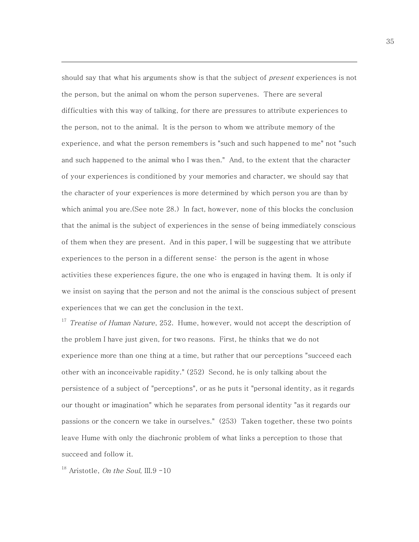should say that what his arguments show is that the subject of *present* experiences is not the person, but the animal on whom the person supervenes. There are several difficulties with this way of talking, for there are pressures to attribute experiences to the person, not to the animal. It is the person to whom we attribute memory of the experience, and what the person remembers is "such and such happened to me" not "such and such happened to the animal who I was then." And, to the extent that the character of your experiences is conditioned by your memories and character, we should say that the character of your experiences is more determined by which person you are than by which animal you are.(See note 28.) In fact, however, none of this blocks the conclusion that the animal is the subject of experiences in the sense of being immediately conscious of them when they are present. And in this paper, I will be suggesting that we attribute experiences to the person in a different sense: the person is the agent in whose activities these experiences figure, the one who is engaged in having them. It is only if we insist on saying that the person and not the animal is the conscious subject of present experiences that we can get the conclusion in the text.

 $17$  Treatise of Human Nature, 252. Hume, however, would not accept the description of the problem I have just given, for two reasons. First, he thinks that we do not experience more than one thing at a time, but rather that our perceptions "succeed each other with an inconceivable rapidity." (252) Second, he is only talking about the persistence of a subject of "perceptions", or as he puts it "personal identity, as it regards our thought or imagination" which he separates from personal identity "as it regards our passions or the concern we take in ourselves." (253) Taken together, these two points leave Hume with only the diachronic problem of what links a perception to those that succeed and follow it.

 $18$  Aristotle, On the Soul, III.9 -10

l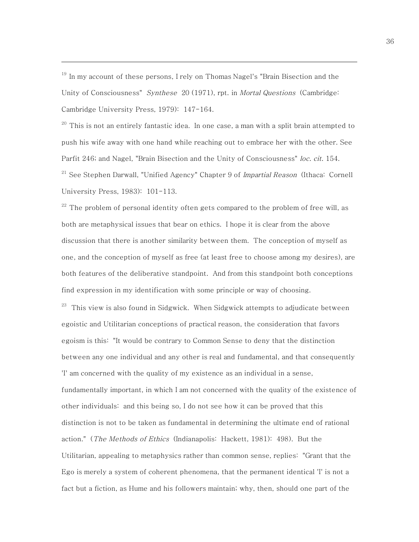$19$  In my account of these persons, I rely on Thomas Nagel's "Brain Bisection and the Unity of Consciousness" Synthese 20 (1971), rpt. in Mortal Questions (Cambridge: Cambridge University Press, 1979): 147-164.

 $20$  This is not an entirely fantastic idea. In one case, a man with a split brain attempted to push his wife away with one hand while reaching out to embrace her with the other. See Parfit 246; and Nagel, "Brain Bisection and the Unity of Consciousness" loc. cit. 154.  $21$  See Stephen Darwall, "Unified Agency" Chapter 9 of Impartial Reason (Ithaca: Cornell

University Press, 1983): 101-113.

l

 $22$  The problem of personal identity often gets compared to the problem of free will, as both are metaphysical issues that bear on ethics. I hope it is clear from the above discussion that there is another similarity between them. The conception of myself as one, and the conception of myself as free (at least free to choose among my desires), are both features of the deliberative standpoint. And from this standpoint both conceptions find expression in my identification with some principle or way of choosing.

 $^{23}$  This view is also found in Sidgwick. When Sidgwick attempts to adjudicate between egoistic and Utilitarian conceptions of practical reason, the consideration that favors egoism is this: "It would be contrary to Common Sense to deny that the distinction between any one individual and any other is real and fundamental, and that consequently 'I' am concerned with the quality of my existence as an individual in a sense, fundamentally important, in which I am not concerned with the quality of the existence of other individuals: and this being so, I do not see how it can be proved that this distinction is not to be taken as fundamental in determining the ultimate end of rational action." (The Methods of Ethics (Indianapolis: Hackett, 1981): 498). But the Utilitarian, appealing to metaphysics rather than common sense, replies: "Grant that the Ego is merely a system of coherent phenomena, that the permanent identical 'I' is not a fact but a fiction, as Hume and his followers maintain; why, then, should one part of the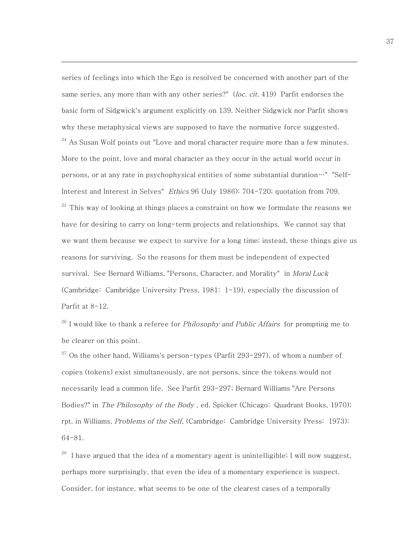series of feelings into which the Ego is resolved be concerned with another part of the same series, any more than with any other series?" (loc. cit. 419) Parfit endorses the basic form of Sidgwick's argument explicitly on 139. Neither Sidgwick nor Parfit shows why these metaphysical views are supposed to have the normative force suggested.  $24$  As Susan Wolf points out "Love and moral character require more than a few minutes. More to the point, love and moral character as they occur in the actual world occur in persons, or at any rate in psychophysical entities of some substantial duration⋯" "Self-Interest and Interest in Selves" Ethics 96 (July 1986): 704-720; quotation from 709.  $25$  This way of looking at things places a constraint on how we formulate the reasons we have for desiring to carry on long-term projects and relationships. We cannot say that we want them because we expect to survive for a long time; instead, these things give us reasons for surviving. So the reasons for them must be independent of expected survival. See Bernard Williams, "Persons, Character, and Morality" in Moral Luck (Cambridge: Cambridge University Press, 1981: 1-19), especially the discussion of Parfit at 8-12.

l

 $^{26}$  I would like to thank a referee for *Philosophy and Public Affairs* for prompting me to be clearer on this point.

 $27$  On the other hand, Williams's person-types (Parfit 293-297), of whom a number of copies (tokens) exist simultaneously, are not persons, since the tokens would not necessarily lead a common life. See Parfit 293-297; Bernard Williams "Are Persons Bodies?" in The Philosophy of the Body , ed. Spicker (Chicago: Quadrant Books, 1970); rpt. in Williams, Problems of the Self, (Cambridge: Cambridge University Press: 1973): 64-81.

 $^{28}$  I have argued that the idea of a momentary agent is unintelligible; I will now suggest, perhaps more surprisingly, that even the idea of a momentary experience is suspect. Consider, for instance, what seems to be one of the clearest cases of a temporally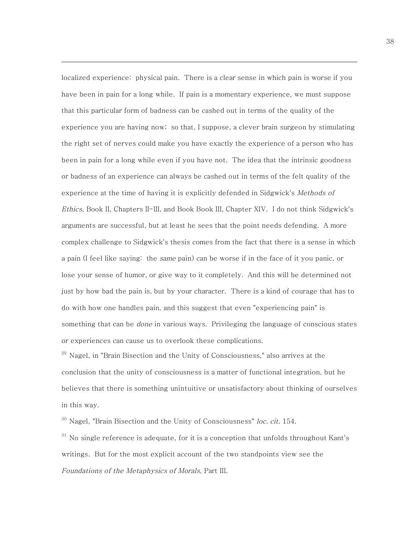localized experience: physical pain. There is a clear sense in which pain is worse if you have been in pain for a long while. If pain is a momentary experience, we must suppose that this particular form of badness can be cashed out in terms of the quality of the experience you are having now; so that, I suppose, a clever brain surgeon by stimulating the right set of nerves could make you have exactly the experience of a person who has been in pain for a long while even if you have not. The idea that the intrinsic goodness or badness of an experience can always be cashed out in terms of the felt quality of the experience at the time of having it is explicitly defended in Sidgwick's Methods of Ethics, Book II, Chapters II-III, and Book Book III, Chapter XIV. I do not think Sidgwick's arguments are successful, but at least he sees that the point needs defending. A more complex challenge to Sidgwick's thesis comes from the fact that there is a sense in which a pain (I feel like saying: the same pain) can be worse if in the face of it you panic, or lose your sense of humor, or give way to it completely. And this will be determined not just by how bad the pain is, but by your character. There is a kind of courage that has to do with how one handles pain, and this suggest that even "experiencing pain" is something that can be *done* in various ways. Privileging the language of conscious states or experiences can cause us to overlook these complications.

l

 $29$  Nagel, in "Brain Bisection and the Unity of Consciousness," also arrives at the conclusion that the unity of consciousness is a matter of functional integration, but he believes that there is something unintuitive or unsatisfactory about thinking of ourselves in this way.

 $30$  Nagel, "Brain Bisection and the Unity of Consciousness" loc. cit. 154.

 $31$  No single reference is adequate, for it is a conception that unfolds throughout Kant's writings. But for the most explicit account of the two standpoints view see the Foundations of the Metaphysics of Morals, Part III.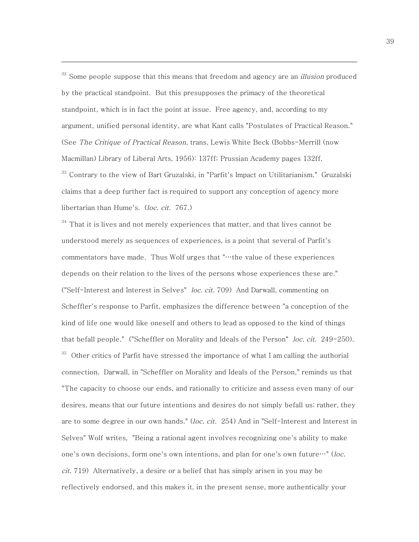$32$  Some people suppose that this means that freedom and agency are an *illusion* produced by the practical standpoint. But this presupposes the primacy of the theoretical standpoint, which is in fact the point at issue. Free agency, and, according to my argument, unified personal identity, are what Kant calls "Postulates of Practical Reason." (See The Critique of Practical Reason, trans. Lewis White Beck (Bobbs-Merrill (now Macmillan) Library of Liberal Arts, 1956): 137ff; Prussian Academy pages 132ff. <sup>33</sup> Contrary to the view of Bart Gruzalski, in "Parfit's Impact on Utilitarianism." Gruzalski claims that a deep further fact is required to support any conception of agency more libertarian than Hume's. (loc. cit. 767.)

l

 $34$  That it is lives and not merely experiences that matter, and that lives cannot be understood merely as sequences of experiences, is a point that several of Parfit's commentators have made. Thus Wolf urges that "⋯the value of these experiences depends on their relation to the lives of the persons whose experiences these are." ("Self-Interest and Interest in Selves" loc. cit. 709) And Darwall, commenting on Scheffler's response to Parfit, emphasizes the difference between "a conception of the kind of life one would like oneself and others to lead as opposed to the kind of things that befall people." ("Scheffler on Morality and Ideals of the Person" loc. cit. 249-250).  $35$  Other critics of Parfit have stressed the importance of what I am calling the authorial connection. Darwall, in "Scheffler on Morality and Ideals of the Person," reminds us that "The capacity to choose our ends, and rationally to criticize and assess even many of our desires, means that our future intentions and desires do not simply befall us; rather, they are to some degree in our own hands." (loc. cit. 254) And in "Self-Interest and Interest in Selves" Wolf writes, "Being a rational agent involves recognizing one's ability to make one's own decisions, form one's own intentions, and plan for one's own future…" (loc. cit. 719) Alternatively, a desire or a belief that has simply arisen in you may be reflectively endorsed, and this makes it, in the present sense, more authentically your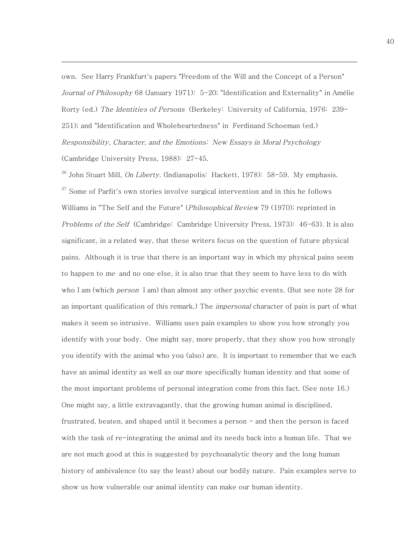own. See Harry Frankfurt's papers "Freedom of the Will and the Concept of a Person" Journal of Philosophy 68 (January 1971): 5-20; "Identification and Externality" in Amélie Rorty (ed.) The Identities of Persons (Berkeley: University of California, 1976: 239- 251); and "Identification and Wholeheartedness" in Ferdinand Schoeman (ed.) Responsibility, Character, and the Emotions: New Essays in Moral Psychology (Cambridge University Press, 1988): 27-45.

l

<sup>36</sup> John Stuart Mill, *On Liberty*. (Indianapolis: Hackett, 1978): 58-59. My emphasis. <sup>37</sup> Some of Parfit's own stories involve surgical intervention and in this he follows Williams in "The Self and the Future" (*Philosophical Review* 79 (1970); reprinted in Problems of the Self (Cambridge: Cambridge University Press, 1973): 46-63). It is also significant, in a related way, that these writers focus on the question of future physical pains. Although it is true that there is an important way in which my physical pains seem to happen to me and no one else, it is also true that they seem to have less to do with who I am (which *person* I am) than almost any other psychic events. (But see note 28 for an important qualification of this remark.) The impersonal character of pain is part of what makes it seem so intrusive. Williams uses pain examples to show you how strongly you identify with your body. One might say, more properly, that they show you how strongly you identify with the animal who you (also) are. It is important to remember that we each have an animal identity as well as our more specifically human identity and that some of the most important problems of personal integration come from this fact. (See note 16.) One might say, a little extravagantly, that the growing human animal is disciplined, frustrated, beaten, and shaped until it becomes a person - and then the person is faced with the task of re-integrating the animal and its needs back into a human life. That we are not much good at this is suggested by psychoanalytic theory and the long human history of ambivalence (to say the least) about our bodily nature. Pain examples serve to show us how vulnerable our animal identity can make our human identity.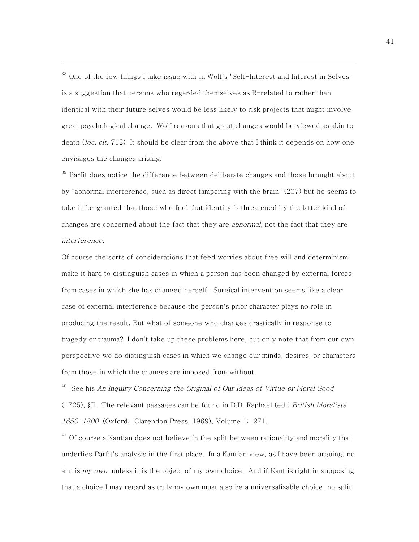$38$  One of the few things I take issue with in Wolf's "Self-Interest and Interest in Selves" is a suggestion that persons who regarded themselves as R-related to rather than identical with their future selves would be less likely to risk projects that might involve great psychological change. Wolf reasons that great changes would be viewed as akin to death.(*loc. cit.* 712) It should be clear from the above that I think it depends on how one envisages the changes arising.

l

 $39$  Parfit does notice the difference between deliberate changes and those brought about by "abnormal interference, such as direct tampering with the brain" (207) but he seems to take it for granted that those who feel that identity is threatened by the latter kind of changes are concerned about the fact that they are *abnormal*, not the fact that they are interference.

Of course the sorts of considerations that feed worries about free will and determinism make it hard to distinguish cases in which a person has been changed by external forces from cases in which she has changed herself. Surgical intervention seems like a clear case of external interference because the person's prior character plays no role in producing the result. But what of someone who changes drastically in response to tragedy or trauma? I don't take up these problems here, but only note that from our own perspective we do distinguish cases in which we change our minds, desires, or characters from those in which the changes are imposed from without.

See his An Inquiry Concerning the Original of Our Ideas of Virtue or Moral Good (1725), §II. The relevant passages can be found in D.D. Raphael (ed.) British Moralists 1650-1800 (Oxford: Clarendon Press, 1969), Volume 1: 271.

 $^{41}$  Of course a Kantian does not believe in the split between rationality and morality that underlies Parfit's analysis in the first place. In a Kantian view, as I have been arguing, no aim is my own unless it is the object of my own choice. And if Kant is right in supposing that a choice I may regard as truly my own must also be a universalizable choice, no split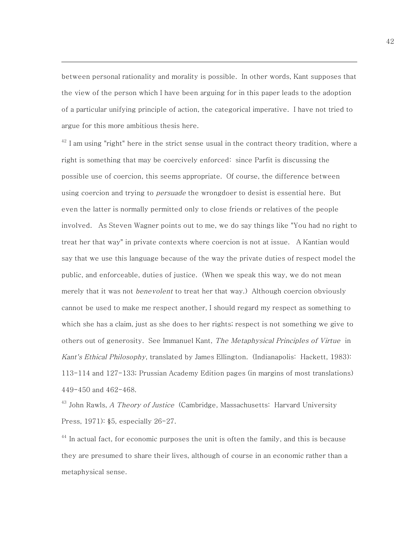between personal rationality and morality is possible. In other words, Kant supposes that the view of the person which I have been arguing for in this paper leads to the adoption of a particular unifying principle of action, the categorical imperative. I have not tried to argue for this more ambitious thesis here.

l

 $^{42}$  I am using "right" here in the strict sense usual in the contract theory tradition, where a right is something that may be coercively enforced: since Parfit is discussing the possible use of coercion, this seems appropriate. Of course, the difference between using coercion and trying to *persuade* the wrongdoer to desist is essential here. But even the latter is normally permitted only to close friends or relatives of the people involved. As Steven Wagner points out to me, we do say things like "You had no right to treat her that way" in private contexts where coercion is not at issue. A Kantian would say that we use this language because of the way the private duties of respect model the public, and enforceable, duties of justice. (When we speak this way, we do not mean merely that it was not *benevolent* to treat her that way.) Although coercion obviously cannot be used to make me respect another, I should regard my respect as something to which she has a claim, just as she does to her rights; respect is not something we give to others out of generosity. See Immanuel Kant, The Metaphysical Principles of Virtue in Kant's Ethical Philosophy, translated by James Ellington. (Indianapolis: Hackett, 1983): 113-114 and 127-133; Prussian Academy Edition pages (in margins of most translations) 449-450 and 462-468.

 $^{43}$  John Rawls, *A Theory of Justice* (Cambridge, Massachusetts: Harvard University Press, 1971): §5, especially 26-27.

 $^{44}$  In actual fact, for economic purposes the unit is often the family, and this is because they are presumed to share their lives, although of course in an economic rather than a metaphysical sense.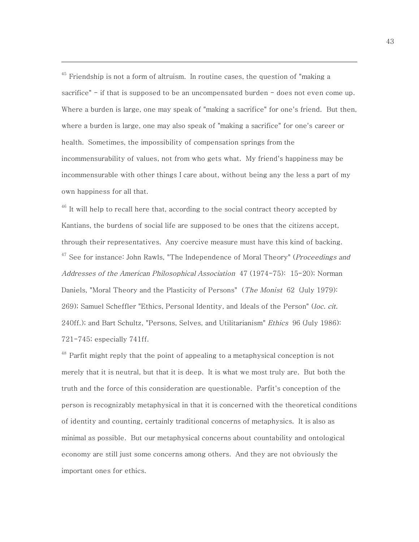$^{45}$  Friendship is not a form of altruism. In routine cases, the question of "making a sacrifice"  $-$  if that is supposed to be an uncompensated burden  $-$  does not even come up. Where a burden is large, one may speak of "making a sacrifice" for one's friend. But then, where a burden is large, one may also speak of "making a sacrifice" for one's career or health. Sometimes, the impossibility of compensation springs from the incommensurability of values, not from who gets what. My friend's happiness may be incommensurable with other things I care about, without being any the less a part of my own happiness for all that.

l

 $^{46}$  It will help to recall here that, according to the social contract theory accepted by Kantians, the burdens of social life are supposed to be ones that the citizens accept, through their representatives. Any coercive measure must have this kind of backing.  $47$  See for instance: John Rawls, "The Independence of Moral Theory" (*Proceedings and* Addresses of the American Philosophical Association 47 (1974-75): 15-20); Norman Daniels, "Moral Theory and the Plasticity of Persons" (The Monist 62 (July 1979): 269); Samuel Scheffler "Ethics, Personal Identity, and Ideals of the Person" (loc. cit. 240ff.); and Bart Schultz, "Persons, Selves, and Utilitarianism" Ethics 96 (July 1986): 721-745; especially 741ff.

 $48$  Parfit might reply that the point of appealing to a metaphysical conception is not merely that it is neutral, but that it is deep. It is what we most truly are. But both the truth and the force of this consideration are questionable. Parfit's conception of the person is recognizably metaphysical in that it is concerned with the theoretical conditions of identity and counting, certainly traditional concerns of metaphysics. It is also as minimal as possible. But our metaphysical concerns about countability and ontological economy are still just some concerns among others. And they are not obviously the important ones for ethics.